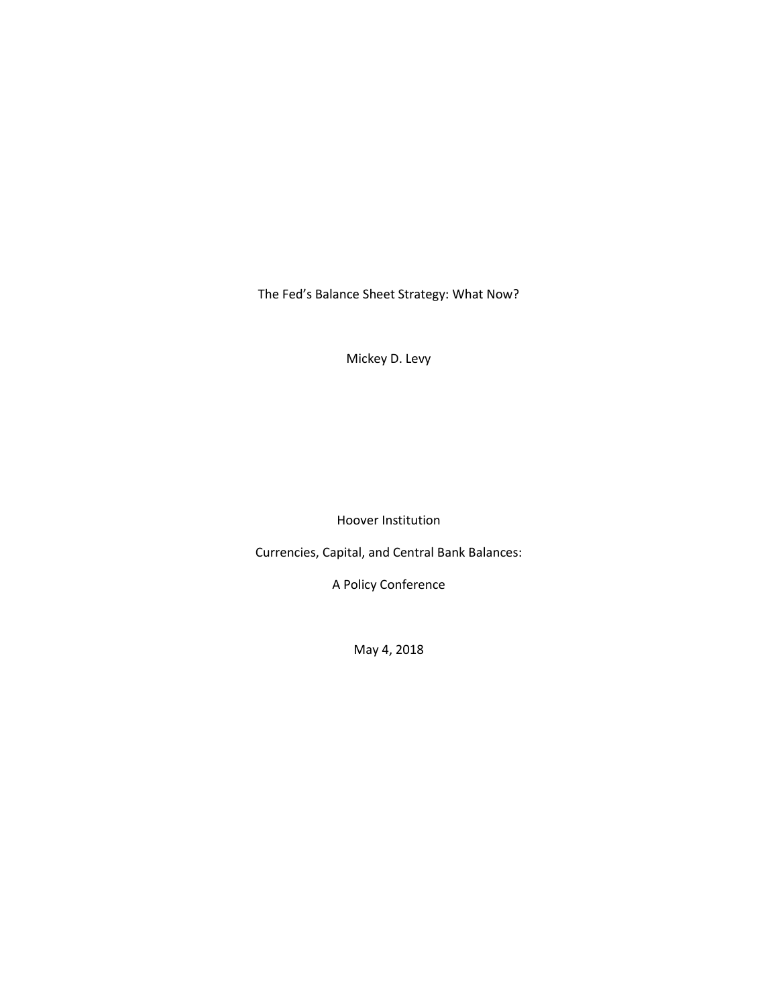The Fed's Balance Sheet Strategy: What Now?

Mickey D. Levy

Hoover Institution

Currencies, Capital, and Central Bank Balances:

A Policy Conference

May 4, 2018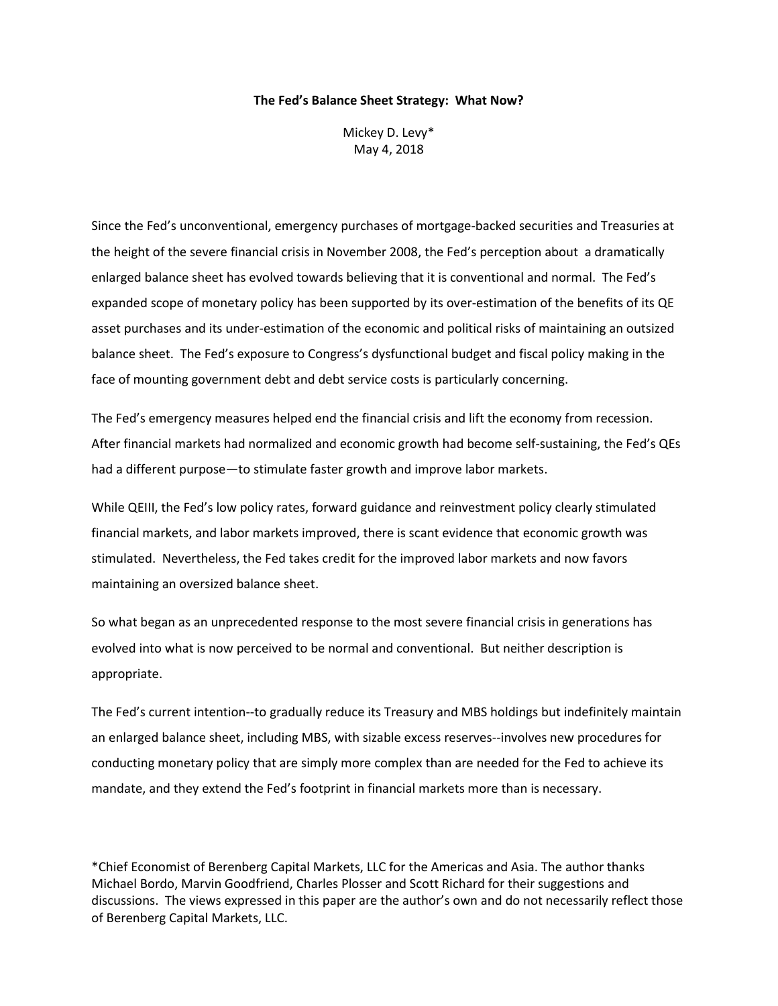#### **The Fed's Balance Sheet Strategy: What Now?**

Mickey D. Levy\* May 4, 2018

Since the Fed's unconventional, emergency purchases of mortgage-backed securities and Treasuries at the height of the severe financial crisis in November 2008, the Fed's perception about a dramatically enlarged balance sheet has evolved towards believing that it is conventional and normal. The Fed's expanded scope of monetary policy has been supported by its over-estimation of the benefits of its QE asset purchases and its under-estimation of the economic and political risks of maintaining an outsized balance sheet. The Fed's exposure to Congress's dysfunctional budget and fiscal policy making in the face of mounting government debt and debt service costs is particularly concerning.

The Fed's emergency measures helped end the financial crisis and lift the economy from recession. After financial markets had normalized and economic growth had become self-sustaining, the Fed's QEs had a different purpose—to stimulate faster growth and improve labor markets.

While QEIII, the Fed's low policy rates, forward guidance and reinvestment policy clearly stimulated financial markets, and labor markets improved, there is scant evidence that economic growth was stimulated. Nevertheless, the Fed takes credit for the improved labor markets and now favors maintaining an oversized balance sheet.

So what began as an unprecedented response to the most severe financial crisis in generations has evolved into what is now perceived to be normal and conventional. But neither description is appropriate.

The Fed's current intention--to gradually reduce its Treasury and MBS holdings but indefinitely maintain an enlarged balance sheet, including MBS, with sizable excess reserves--involves new procedures for conducting monetary policy that are simply more complex than are needed for the Fed to achieve its mandate, and they extend the Fed's footprint in financial markets more than is necessary.

\*Chief Economist of Berenberg Capital Markets, LLC for the Americas and Asia. The author thanks Michael Bordo, Marvin Goodfriend, Charles Plosser and Scott Richard for their suggestions and discussions. The views expressed in this paper are the author's own and do not necessarily reflect those of Berenberg Capital Markets, LLC.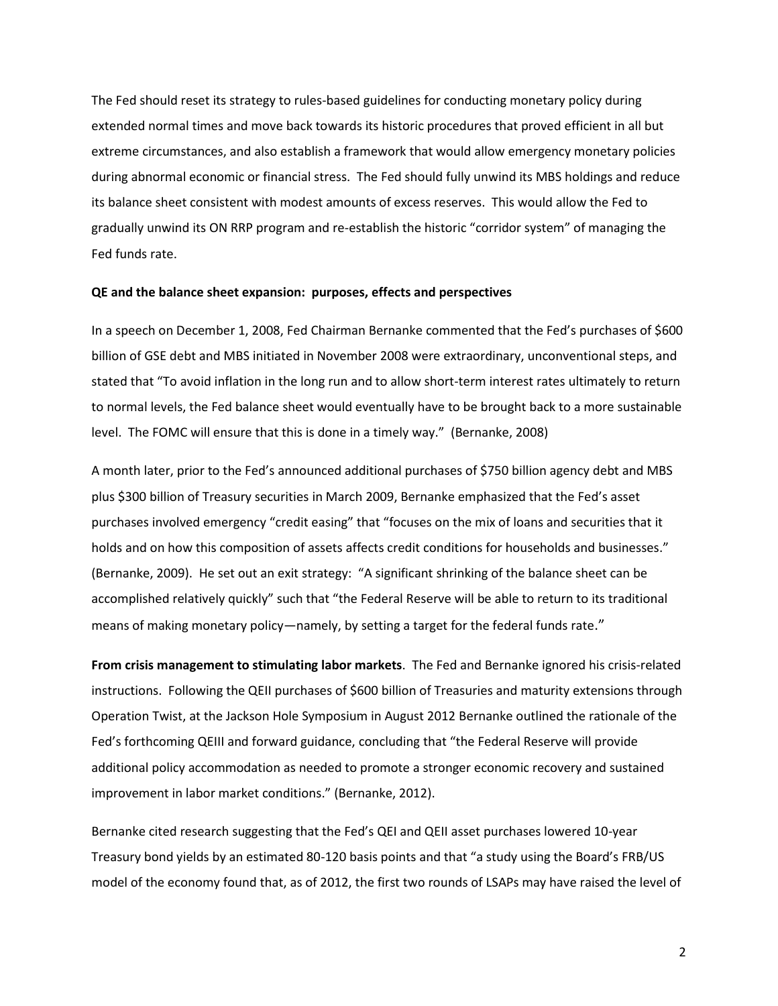The Fed should reset its strategy to rules-based guidelines for conducting monetary policy during extended normal times and move back towards its historic procedures that proved efficient in all but extreme circumstances, and also establish a framework that would allow emergency monetary policies during abnormal economic or financial stress. The Fed should fully unwind its MBS holdings and reduce its balance sheet consistent with modest amounts of excess reserves. This would allow the Fed to gradually unwind its ON RRP program and re-establish the historic "corridor system" of managing the Fed funds rate.

#### **QE and the balance sheet expansion: purposes, effects and perspectives**

In a speech on December 1, 2008, Fed Chairman Bernanke commented that the Fed's purchases of \$600 billion of GSE debt and MBS initiated in November 2008 were extraordinary, unconventional steps, and stated that "To avoid inflation in the long run and to allow short-term interest rates ultimately to return to normal levels, the Fed balance sheet would eventually have to be brought back to a more sustainable level. The FOMC will ensure that this is done in a timely way." (Bernanke, 2008)

A month later, prior to the Fed's announced additional purchases of \$750 billion agency debt and MBS plus \$300 billion of Treasury securities in March 2009, Bernanke emphasized that the Fed's asset purchases involved emergency "credit easing" that "focuses on the mix of loans and securities that it holds and on how this composition of assets affects credit conditions for households and businesses." (Bernanke, 2009). He set out an exit strategy: "A significant shrinking of the balance sheet can be accomplished relatively quickly" such that "the Federal Reserve will be able to return to its traditional means of making monetary policy—namely, by setting a target for the federal funds rate."

**From crisis management to stimulating labor markets**. The Fed and Bernanke ignored his crisis-related instructions. Following the QEII purchases of \$600 billion of Treasuries and maturity extensions through Operation Twist, at the Jackson Hole Symposium in August 2012 Bernanke outlined the rationale of the Fed's forthcoming QEIII and forward guidance, concluding that "the Federal Reserve will provide additional policy accommodation as needed to promote a stronger economic recovery and sustained improvement in labor market conditions." (Bernanke, 2012).

Bernanke cited research suggesting that the Fed's QEI and QEII asset purchases lowered 10-year Treasury bond yields by an estimated 80-120 basis points and that "a study using the Board's FRB/US model of the economy found that, as of 2012, the first two rounds of LSAPs may have raised the level of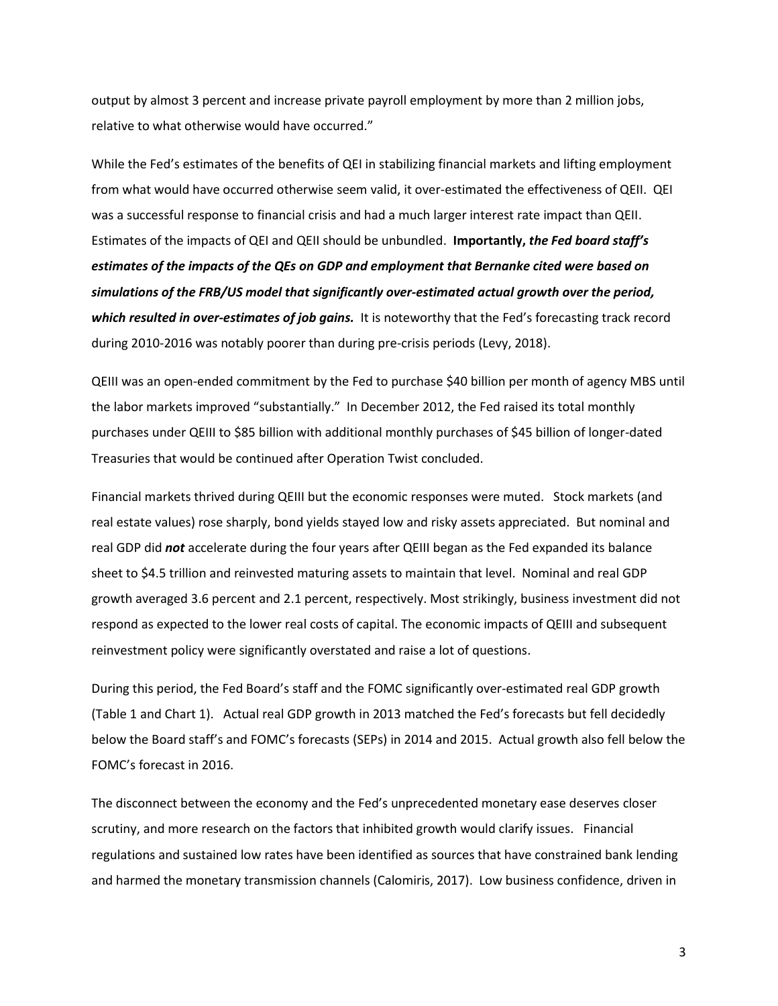output by almost 3 percent and increase private payroll employment by more than 2 million jobs, relative to what otherwise would have occurred."

While the Fed's estimates of the benefits of QEI in stabilizing financial markets and lifting employment from what would have occurred otherwise seem valid, it over-estimated the effectiveness of QEII. QEI was a successful response to financial crisis and had a much larger interest rate impact than QEII. Estimates of the impacts of QEI and QEII should be unbundled. **Importantly,** *the Fed board staff's estimates of the impacts of the QEs on GDP and employment that Bernanke cited were based on simulations of the FRB/US model that significantly over-estimated actual growth over the period, which resulted in over-estimates of job gains.* It is noteworthy that the Fed's forecasting track record during 2010-2016 was notably poorer than during pre-crisis periods (Levy, 2018).

QEIII was an open-ended commitment by the Fed to purchase \$40 billion per month of agency MBS until the labor markets improved "substantially." In December 2012, the Fed raised its total monthly purchases under QEIII to \$85 billion with additional monthly purchases of \$45 billion of longer-dated Treasuries that would be continued after Operation Twist concluded.

Financial markets thrived during QEIII but the economic responses were muted. Stock markets (and real estate values) rose sharply, bond yields stayed low and risky assets appreciated. But nominal and real GDP did *not* accelerate during the four years after QEIII began as the Fed expanded its balance sheet to \$4.5 trillion and reinvested maturing assets to maintain that level. Nominal and real GDP growth averaged 3.6 percent and 2.1 percent, respectively. Most strikingly, business investment did not respond as expected to the lower real costs of capital. The economic impacts of QEIII and subsequent reinvestment policy were significantly overstated and raise a lot of questions.

During this period, the Fed Board's staff and the FOMC significantly over-estimated real GDP growth (Table 1 and Chart 1). Actual real GDP growth in 2013 matched the Fed's forecasts but fell decidedly below the Board staff's and FOMC's forecasts (SEPs) in 2014 and 2015. Actual growth also fell below the FOMC's forecast in 2016.

The disconnect between the economy and the Fed's unprecedented monetary ease deserves closer scrutiny, and more research on the factors that inhibited growth would clarify issues. Financial regulations and sustained low rates have been identified as sources that have constrained bank lending and harmed the monetary transmission channels (Calomiris, 2017). Low business confidence, driven in

3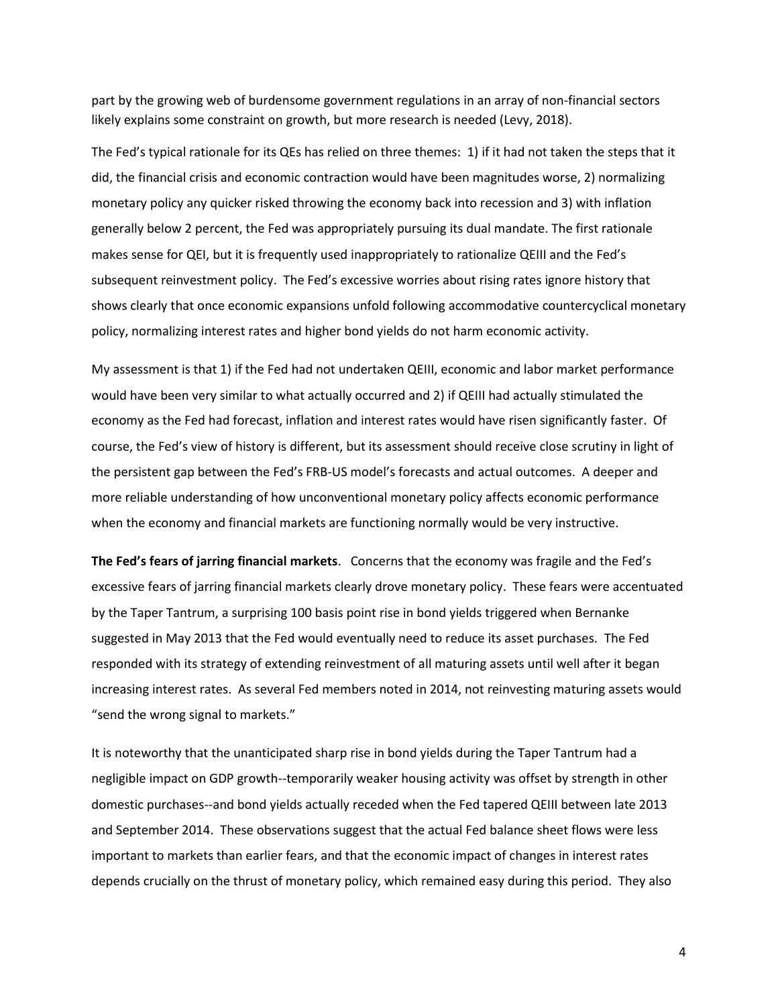part by the growing web of burdensome government regulations in an array of non-financial sectors likely explains some constraint on growth, but more research is needed (Levy, 2018).

The Fed's typical rationale for its QEs has relied on three themes: 1) if it had not taken the steps that it did, the financial crisis and economic contraction would have been magnitudes worse, 2) normalizing monetary policy any quicker risked throwing the economy back into recession and 3) with inflation generally below 2 percent, the Fed was appropriately pursuing its dual mandate. The first rationale makes sense for QEI, but it is frequently used inappropriately to rationalize QEIII and the Fed's subsequent reinvestment policy. The Fed's excessive worries about rising rates ignore history that shows clearly that once economic expansions unfold following accommodative countercyclical monetary policy, normalizing interest rates and higher bond yields do not harm economic activity.

My assessment is that 1) if the Fed had not undertaken QEIII, economic and labor market performance would have been very similar to what actually occurred and 2) if QEIII had actually stimulated the economy as the Fed had forecast, inflation and interest rates would have risen significantly faster. Of course, the Fed's view of history is different, but its assessment should receive close scrutiny in light of the persistent gap between the Fed's FRB-US model's forecasts and actual outcomes. A deeper and more reliable understanding of how unconventional monetary policy affects economic performance when the economy and financial markets are functioning normally would be very instructive.

**The Fed's fears of jarring financial markets**. Concerns that the economy was fragile and the Fed's excessive fears of jarring financial markets clearly drove monetary policy. These fears were accentuated by the Taper Tantrum, a surprising 100 basis point rise in bond yields triggered when Bernanke suggested in May 2013 that the Fed would eventually need to reduce its asset purchases. The Fed responded with its strategy of extending reinvestment of all maturing assets until well after it began increasing interest rates. As several Fed members noted in 2014, not reinvesting maturing assets would "send the wrong signal to markets."

It is noteworthy that the unanticipated sharp rise in bond yields during the Taper Tantrum had a negligible impact on GDP growth--temporarily weaker housing activity was offset by strength in other domestic purchases--and bond yields actually receded when the Fed tapered QEIII between late 2013 and September 2014. These observations suggest that the actual Fed balance sheet flows were less important to markets than earlier fears, and that the economic impact of changes in interest rates depends crucially on the thrust of monetary policy, which remained easy during this period. They also

4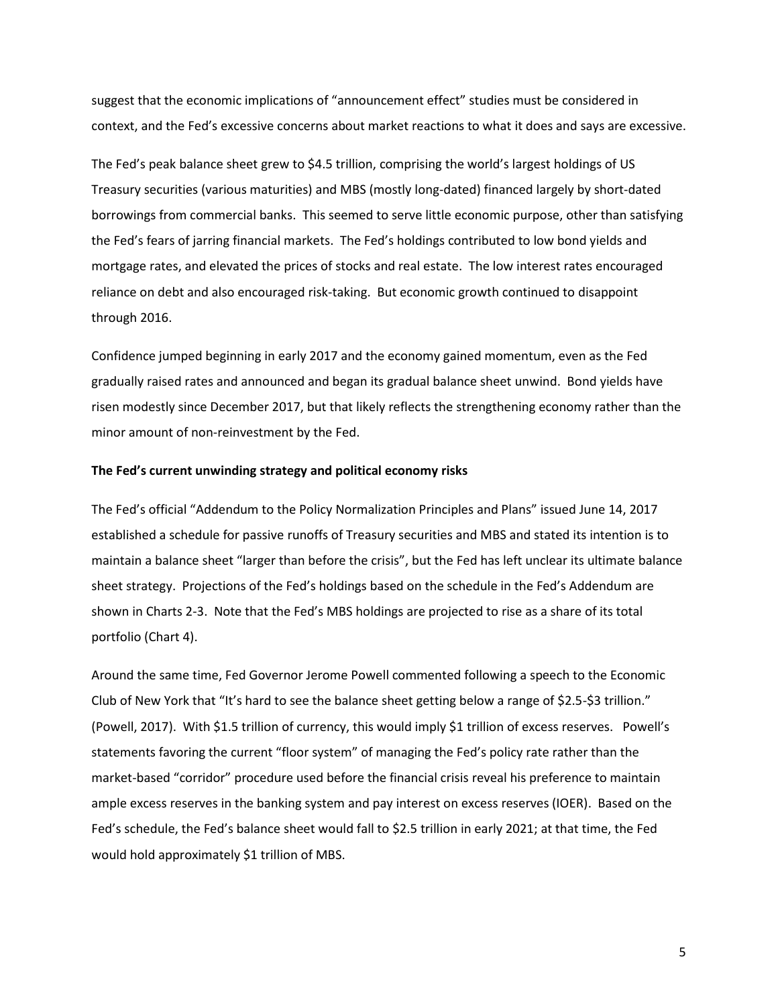suggest that the economic implications of "announcement effect" studies must be considered in context, and the Fed's excessive concerns about market reactions to what it does and says are excessive.

The Fed's peak balance sheet grew to \$4.5 trillion, comprising the world's largest holdings of US Treasury securities (various maturities) and MBS (mostly long-dated) financed largely by short-dated borrowings from commercial banks. This seemed to serve little economic purpose, other than satisfying the Fed's fears of jarring financial markets. The Fed's holdings contributed to low bond yields and mortgage rates, and elevated the prices of stocks and real estate. The low interest rates encouraged reliance on debt and also encouraged risk-taking. But economic growth continued to disappoint through 2016.

Confidence jumped beginning in early 2017 and the economy gained momentum, even as the Fed gradually raised rates and announced and began its gradual balance sheet unwind. Bond yields have risen modestly since December 2017, but that likely reflects the strengthening economy rather than the minor amount of non-reinvestment by the Fed.

## **The Fed's current unwinding strategy and political economy risks**

The Fed's official "Addendum to the Policy Normalization Principles and Plans" issued June 14, 2017 established a schedule for passive runoffs of Treasury securities and MBS and stated its intention is to maintain a balance sheet "larger than before the crisis", but the Fed has left unclear its ultimate balance sheet strategy. Projections of the Fed's holdings based on the schedule in the Fed's Addendum are shown in Charts 2-3. Note that the Fed's MBS holdings are projected to rise as a share of its total portfolio (Chart 4).

Around the same time, Fed Governor Jerome Powell commented following a speech to the Economic Club of New York that "It's hard to see the balance sheet getting below a range of \$2.5-\$3 trillion." (Powell, 2017). With \$1.5 trillion of currency, this would imply \$1 trillion of excess reserves. Powell's statements favoring the current "floor system" of managing the Fed's policy rate rather than the market-based "corridor" procedure used before the financial crisis reveal his preference to maintain ample excess reserves in the banking system and pay interest on excess reserves (IOER). Based on the Fed's schedule, the Fed's balance sheet would fall to \$2.5 trillion in early 2021; at that time, the Fed would hold approximately \$1 trillion of MBS.

5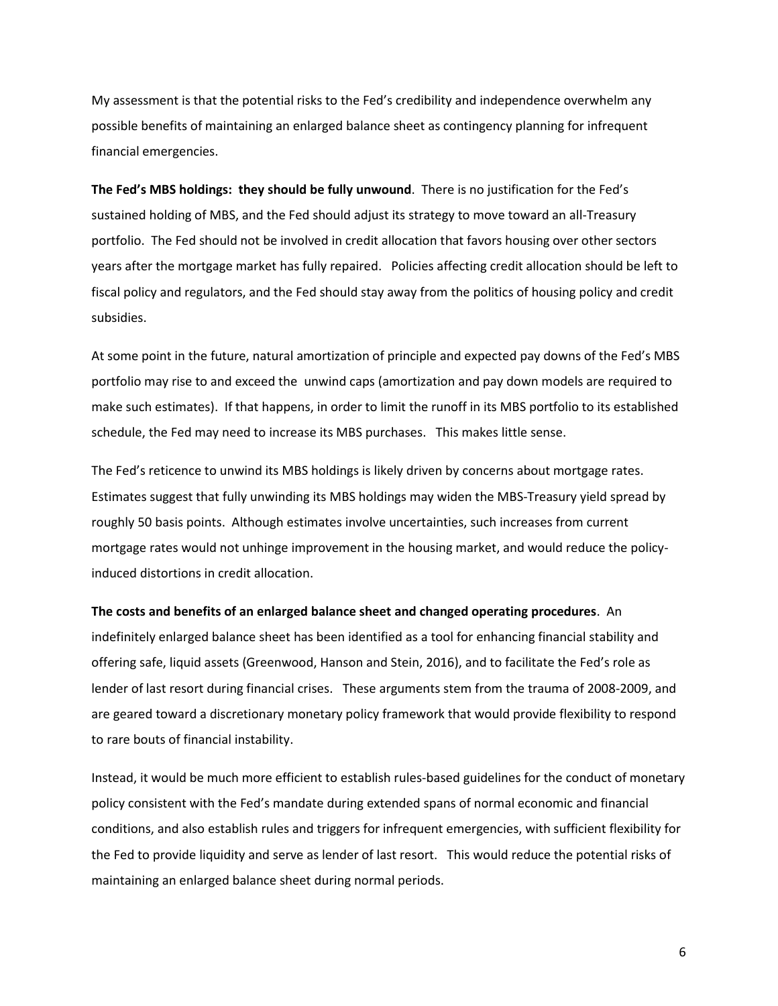My assessment is that the potential risks to the Fed's credibility and independence overwhelm any possible benefits of maintaining an enlarged balance sheet as contingency planning for infrequent financial emergencies.

**The Fed's MBS holdings: they should be fully unwound**. There is no justification for the Fed's sustained holding of MBS, and the Fed should adjust its strategy to move toward an all-Treasury portfolio. The Fed should not be involved in credit allocation that favors housing over other sectors years after the mortgage market has fully repaired. Policies affecting credit allocation should be left to fiscal policy and regulators, and the Fed should stay away from the politics of housing policy and credit subsidies.

At some point in the future, natural amortization of principle and expected pay downs of the Fed's MBS portfolio may rise to and exceed the unwind caps (amortization and pay down models are required to make such estimates). If that happens, in order to limit the runoff in its MBS portfolio to its established schedule, the Fed may need to increase its MBS purchases. This makes little sense.

The Fed's reticence to unwind its MBS holdings is likely driven by concerns about mortgage rates. Estimates suggest that fully unwinding its MBS holdings may widen the MBS-Treasury yield spread by roughly 50 basis points. Although estimates involve uncertainties, such increases from current mortgage rates would not unhinge improvement in the housing market, and would reduce the policyinduced distortions in credit allocation.

### **The costs and benefits of an enlarged balance sheet and changed operating procedures**. An

indefinitely enlarged balance sheet has been identified as a tool for enhancing financial stability and offering safe, liquid assets (Greenwood, Hanson and Stein, 2016), and to facilitate the Fed's role as lender of last resort during financial crises. These arguments stem from the trauma of 2008-2009, and are geared toward a discretionary monetary policy framework that would provide flexibility to respond to rare bouts of financial instability.

Instead, it would be much more efficient to establish rules-based guidelines for the conduct of monetary policy consistent with the Fed's mandate during extended spans of normal economic and financial conditions, and also establish rules and triggers for infrequent emergencies, with sufficient flexibility for the Fed to provide liquidity and serve as lender of last resort. This would reduce the potential risks of maintaining an enlarged balance sheet during normal periods.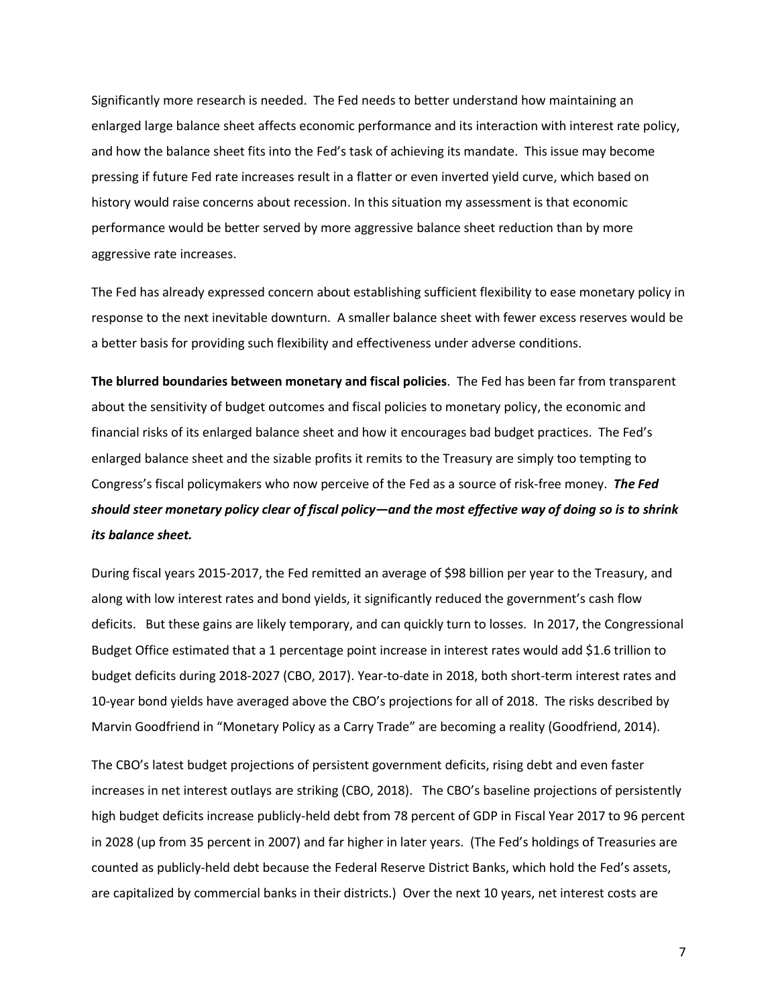Significantly more research is needed. The Fed needs to better understand how maintaining an enlarged large balance sheet affects economic performance and its interaction with interest rate policy, and how the balance sheet fits into the Fed's task of achieving its mandate. This issue may become pressing if future Fed rate increases result in a flatter or even inverted yield curve, which based on history would raise concerns about recession. In this situation my assessment is that economic performance would be better served by more aggressive balance sheet reduction than by more aggressive rate increases.

The Fed has already expressed concern about establishing sufficient flexibility to ease monetary policy in response to the next inevitable downturn. A smaller balance sheet with fewer excess reserves would be a better basis for providing such flexibility and effectiveness under adverse conditions.

**The blurred boundaries between monetary and fiscal policies**. The Fed has been far from transparent about the sensitivity of budget outcomes and fiscal policies to monetary policy, the economic and financial risks of its enlarged balance sheet and how it encourages bad budget practices. The Fed's enlarged balance sheet and the sizable profits it remits to the Treasury are simply too tempting to Congress's fiscal policymakers who now perceive of the Fed as a source of risk-free money. *The Fed should steer monetary policy clear of fiscal policy—and the most effective way of doing so is to shrink its balance sheet.*

During fiscal years 2015-2017, the Fed remitted an average of \$98 billion per year to the Treasury, and along with low interest rates and bond yields, it significantly reduced the government's cash flow deficits. But these gains are likely temporary, and can quickly turn to losses. In 2017, the Congressional Budget Office estimated that a 1 percentage point increase in interest rates would add \$1.6 trillion to budget deficits during 2018-2027 (CBO, 2017). Year-to-date in 2018, both short-term interest rates and 10-year bond yields have averaged above the CBO's projections for all of 2018. The risks described by Marvin Goodfriend in "Monetary Policy as a Carry Trade" are becoming a reality (Goodfriend, 2014).

The CBO's latest budget projections of persistent government deficits, rising debt and even faster increases in net interest outlays are striking (CBO, 2018). The CBO's baseline projections of persistently high budget deficits increase publicly-held debt from 78 percent of GDP in Fiscal Year 2017 to 96 percent in 2028 (up from 35 percent in 2007) and far higher in later years. (The Fed's holdings of Treasuries are counted as publicly-held debt because the Federal Reserve District Banks, which hold the Fed's assets, are capitalized by commercial banks in their districts.) Over the next 10 years, net interest costs are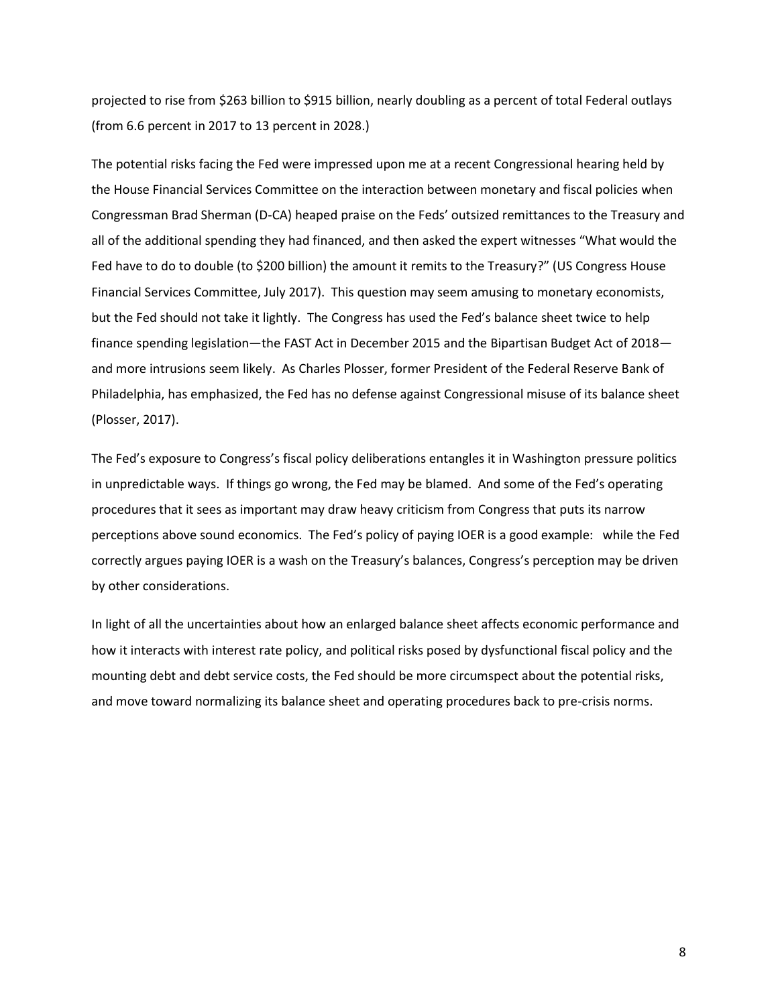projected to rise from \$263 billion to \$915 billion, nearly doubling as a percent of total Federal outlays (from 6.6 percent in 2017 to 13 percent in 2028.)

The potential risks facing the Fed were impressed upon me at a recent Congressional hearing held by the House Financial Services Committee on the interaction between monetary and fiscal policies when Congressman Brad Sherman (D-CA) heaped praise on the Feds' outsized remittances to the Treasury and all of the additional spending they had financed, and then asked the expert witnesses "What would the Fed have to do to double (to \$200 billion) the amount it remits to the Treasury?" (US Congress House Financial Services Committee, July 2017). This question may seem amusing to monetary economists, but the Fed should not take it lightly. The Congress has used the Fed's balance sheet twice to help finance spending legislation—the FAST Act in December 2015 and the Bipartisan Budget Act of 2018 and more intrusions seem likely. As Charles Plosser, former President of the Federal Reserve Bank of Philadelphia, has emphasized, the Fed has no defense against Congressional misuse of its balance sheet (Plosser, 2017).

The Fed's exposure to Congress's fiscal policy deliberations entangles it in Washington pressure politics in unpredictable ways. If things go wrong, the Fed may be blamed. And some of the Fed's operating procedures that it sees as important may draw heavy criticism from Congress that puts its narrow perceptions above sound economics. The Fed's policy of paying IOER is a good example: while the Fed correctly argues paying IOER is a wash on the Treasury's balances, Congress's perception may be driven by other considerations.

In light of all the uncertainties about how an enlarged balance sheet affects economic performance and how it interacts with interest rate policy, and political risks posed by dysfunctional fiscal policy and the mounting debt and debt service costs, the Fed should be more circumspect about the potential risks, and move toward normalizing its balance sheet and operating procedures back to pre-crisis norms.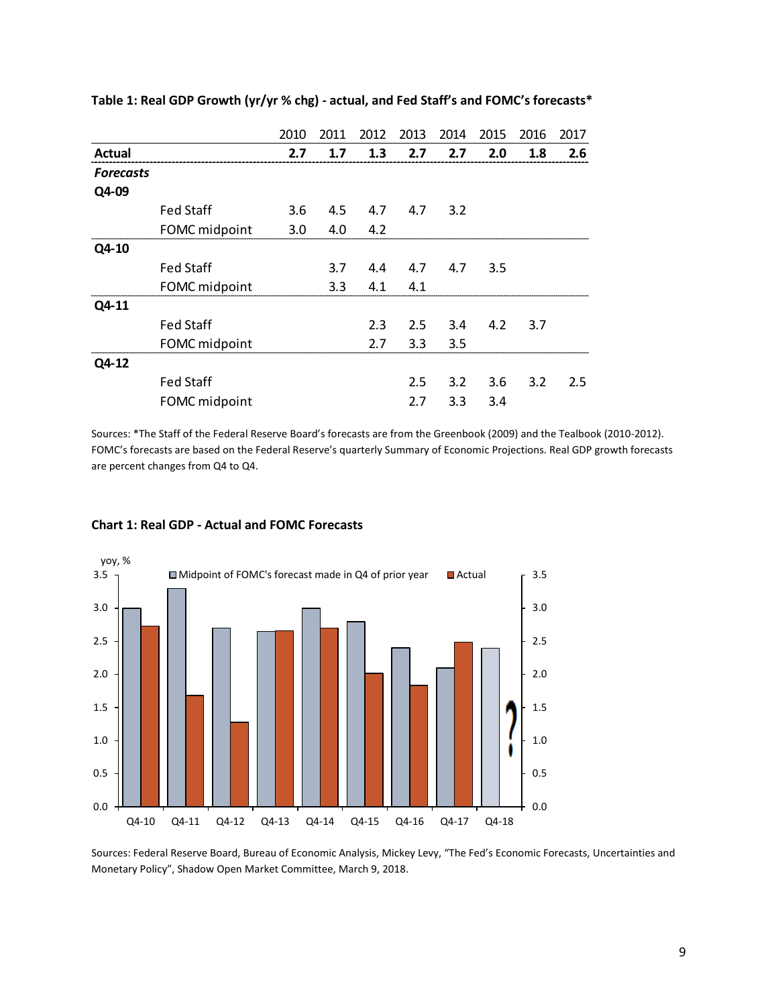|                  |                  | 2010 | 2011 | 2012    | 2013 | 2014 | 2015 | 2016 | 2017 |
|------------------|------------------|------|------|---------|------|------|------|------|------|
| <b>Actual</b>    |                  | 2.7  | 1.7  | 1.3     | 2.7  | 2.7  | 2.0  | 1.8  | 2.6  |
| <b>Forecasts</b> |                  |      |      |         |      |      |      |      |      |
| Q4-09            |                  |      |      |         |      |      |      |      |      |
|                  | <b>Fed Staff</b> | 3.6  |      | 4.5 4.7 | 4.7  | 3.2  |      |      |      |
|                  | FOMC midpoint    | 3.0  | 4.0  | 4.2     |      |      |      |      |      |
| Q4-10            |                  |      |      |         |      |      |      |      |      |
|                  | <b>Fed Staff</b> |      | 3.7  | 4.4     | 4.7  | 4.7  | 3.5  |      |      |
|                  | FOMC midpoint    |      | 3.3  | 4.1     | 4.1  |      |      |      |      |
| Q4-11            |                  |      |      |         |      |      |      |      |      |
|                  | <b>Fed Staff</b> |      |      | 2.3     | 2.5  | 3.4  | 4.2  | 3.7  |      |
|                  | FOMC midpoint    |      |      | 2.7     | 3.3  | 3.5  |      |      |      |
| Q4-12            |                  |      |      |         |      |      |      |      |      |
|                  | <b>Fed Staff</b> |      |      |         | 2.5  | 3.2  | 3.6  | 3.2  | 2.5  |
|                  | FOMC midpoint    |      |      |         | 2.7  | 3.3  | 3.4  |      |      |

**Table 1: Real GDP Growth (yr/yr % chg) - actual, and Fed Staff's and FOMC's forecasts\***

Sources: \*The Staff of the Federal Reserve Board's forecasts are from the Greenbook (2009) and the Tealbook (2010-2012). FOMC's forecasts are based on the Federal Reserve's quarterly Summary of Economic Projections. Real GDP growth forecasts are percent changes from Q4 to Q4.



### **Chart 1: Real GDP - Actual and FOMC Forecasts**

Sources: Federal Reserve Board, Bureau of Economic Analysis, Mickey Levy, "The Fed's Economic Forecasts, Uncertainties and Monetary Policy", Shadow Open Market Committee, March 9, 2018.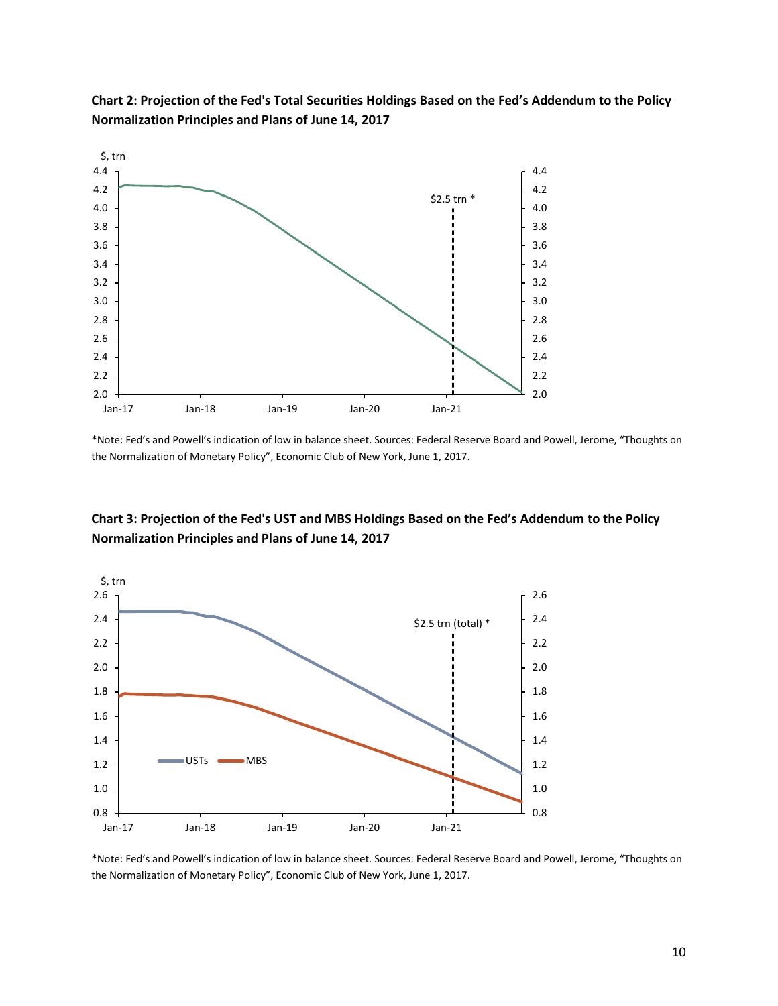

**Chart 2: Projection of the Fed's Total Securities Holdings Based on the Fed's Addendum to the Policy Normalization Principles and Plans of June 14, 2017**

\*Note: Fed's and Powell's indication of low in balance sheet. Sources: Federal Reserve Board and Powell, Jerome, "Thoughts on the Normalization of Monetary Policy", Economic Club of New York, June 1, 2017.

# **Chart 3: Projection of the Fed's UST and MBS Holdings Based on the Fed's Addendum to the Policy Normalization Principles and Plans of June 14, 2017**



\*Note: Fed's and Powell's indication of low in balance sheet. Sources: Federal Reserve Board and Powell, Jerome, "Thoughts on the Normalization of Monetary Policy", Economic Club of New York, June 1, 2017.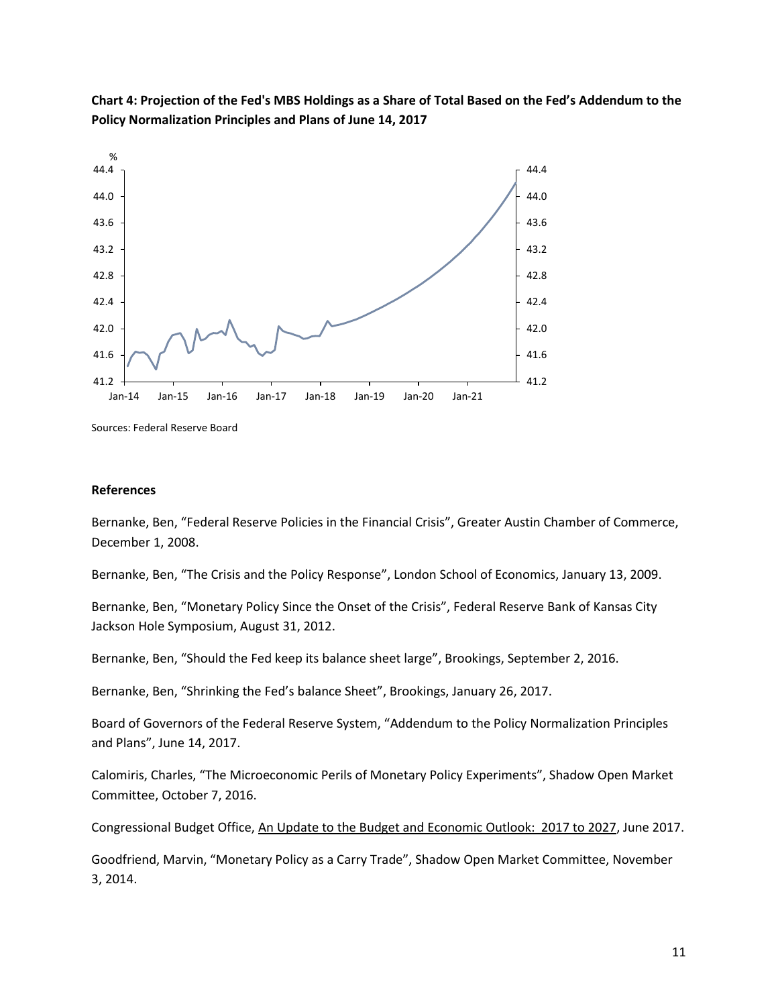

**Chart 4: Projection of the Fed's MBS Holdings as a Share of Total Based on the Fed's Addendum to the Policy Normalization Principles and Plans of June 14, 2017**

Sources: Federal Reserve Board

## **References**

Bernanke, Ben, "Federal Reserve Policies in the Financial Crisis", Greater Austin Chamber of Commerce, December 1, 2008.

Bernanke, Ben, "The Crisis and the Policy Response", London School of Economics, January 13, 2009.

Bernanke, Ben, "Monetary Policy Since the Onset of the Crisis", Federal Reserve Bank of Kansas City Jackson Hole Symposium, August 31, 2012.

Bernanke, Ben, "Should the Fed keep its balance sheet large", Brookings, September 2, 2016.

Bernanke, Ben, "Shrinking the Fed's balance Sheet", Brookings, January 26, 2017.

Board of Governors of the Federal Reserve System, "Addendum to the Policy Normalization Principles and Plans", June 14, 2017.

Calomiris, Charles, "The Microeconomic Perils of Monetary Policy Experiments", Shadow Open Market Committee, October 7, 2016.

Congressional Budget Office, An Update to the Budget and Economic Outlook: 2017 to 2027, June 2017.

Goodfriend, Marvin, "Monetary Policy as a Carry Trade", Shadow Open Market Committee, November 3, 2014.